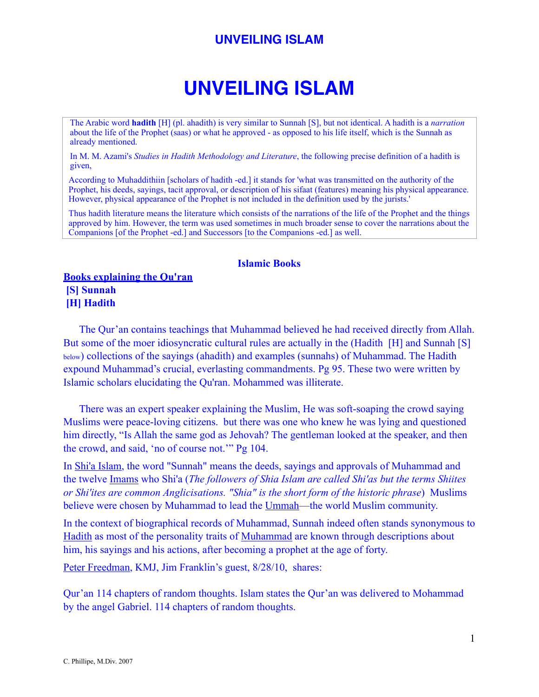# **UNVEILING ISLAM**

The Arabic word **hadith** [H] (pl. ahadith) is very similar to Sunnah [S], but not identical. A hadith is a *narration* about the life of the Prophet (saas) or what he approved - as opposed to his life itself, which is the Sunnah as already mentioned.

In M. M. Azami's *Studies in Hadith Methodology and Literature*, the following precise definition of a hadith is given,

According to Muhaddithiin [scholars of hadith -ed.] it stands for 'what was transmitted on the authority of the Prophet, his deeds, sayings, tacit approval, or description of his sifaat (features) meaning his physical appearance. However, physical appearance of the Prophet is not included in the definition used by the jurists.'

Thus hadith literature means the literature which consists of the narrations of the life of the Prophet and the things approved by him. However, the term was used sometimes in much broader sense to cover the narrations about the Companions [of the Prophet -ed.] and Successors [to the Companions -ed.] as well.

#### **Islamic Books**

**Books explaining the Qu'ran [S] Sunnah [H] Hadith** 

The Qur'an contains teachings that Muhammad believed he had received directly from Allah. But some of the moer idiosyncratic cultural rules are actually in the (Hadith [H] and Sunnah [S] below) collections of the sayings (ahadith) and examples (sunnahs) of Muhammad. The Hadith expound Muhammad's crucial, everlasting commandments. Pg 95. These two were written by Islamic scholars elucidating the Qu'ran. Mohammed was illiterate.

There was an expert speaker explaining the Muslim, He was soft-soaping the crowd saying Muslims were peace-loving citizens. but there was one who knew he was lying and questioned him directly, "Is Allah the same god as Jehovah? The gentleman looked at the speaker, and then the crowd, and said, 'no of course not.'" Pg 104.

In [Shi'a Islam](http://en.wikipedia.org/wiki/Shi%2527a_Islam), the word "Sunnah" means the deeds, sayings and approvals of Muhammad and the twelve [Imams](http://en.wikipedia.org/wiki/Imam) who Shi'a (*The followers of Shia Islam are called Shi'as but the terms Shiites or Shi'ites are common Anglicisations. "Shia" is the short form of the historic phrase*) Muslims believe were chosen by Muhammad to lead the [Ummah—](http://en.wikipedia.org/wiki/Ummah)the world Muslim community.

In the context of biographical records of Muhammad, Sunnah indeed often stands synonymous to [Hadith](http://en.wikipedia.org/wiki/Hadith) as most of the personality traits of [Muhammad](http://en.wikipedia.org/wiki/Muhammad) are known through descriptions about him, his sayings and his actions, after becoming a prophet at the age of forty.

Peter Freedman, KMJ, Jim Franklin's guest, 8/28/10, shares:

Qur'an 114 chapters of random thoughts. Islam states the Qur'an was delivered to Mohammad by the angel Gabriel. 114 chapters of random thoughts.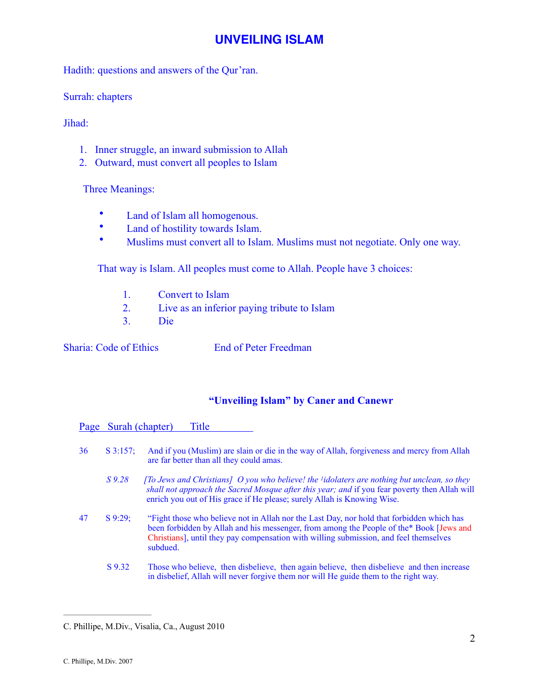Hadith: questions and answers of the Qur'ran.

Surrah: chapters

Jihad:

- 1. Inner struggle, an inward submission to Allah
- 2. Outward, must convert all peoples to Islam

Three Meanings:

- Land of Islam all homogenous.
- Land of hostility towards Islam.
- Muslims must convert all to Islam. Muslims must not negotiate. Only one way.

That way is Islam. All peoples must come to Allah. People have 3 choices:

- 1. Convert to Islam
- 2. Live as an inferior paying tribute to Islam
- 3. Die

**Sharia:** Code of Ethics **End of Peter Freedman** 

#### **"Unveiling Islam" by Caner and Canewr**

| Page Surah (chapter)<br>Title |            |                                                                                                                                                                                                                                                                                            |  |  |
|-------------------------------|------------|--------------------------------------------------------------------------------------------------------------------------------------------------------------------------------------------------------------------------------------------------------------------------------------------|--|--|
| 36                            | $S$ 3:157: | And if you (Muslim) are slain or die in the way of Allah, forgiveness and mercy from Allah<br>are far better than all they could amas.                                                                                                                                                     |  |  |
|                               | $S\,9.28$  | [To Jews and Christians] O you who believe! the <i>lidolaters are nothing but unclean, so they</i><br>shall not approach the Sacred Mosque after this year; and if you fear poverty then Allah will<br>enrich you out of His grace if He please; surely Allah is Knowing Wise.             |  |  |
| 47                            | $S$ 9:29;  | "Fight those who believe not in Allah nor the Last Day, nor hold that forbidden which has<br>been forbidden by Allah and his messenger, from among the People of the * Book [Jews and<br>Christians], until they pay compensation with willing submission, and feel themselves<br>subdued. |  |  |
|                               | S 9.32     | Those who believe, then disbelieve, then again believe, then disbelieve and then increase<br>in disbelief, Allah will never forgive them nor will He guide them to the right way.                                                                                                          |  |  |

C. Phillipe, M.Div., Visalia, Ca., August 2010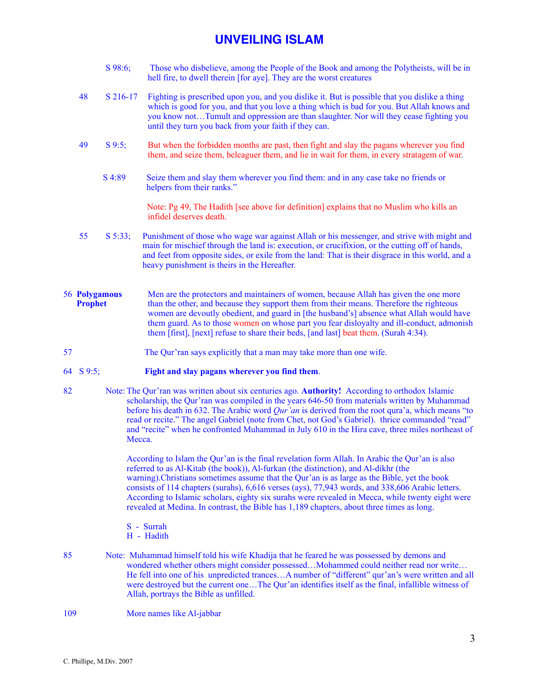- S 98:6; Those who disbelieve, among the People of the Book and among the Polytheists, will be in hell fire, to dwell therein [for aye]. They are the worst creatures
- 48 S 216-17 Fighting is prescribed upon you, and you dislike it. But is possible that you dislike a thing which is good for you, and that you love a thing which is bad for you. But Allah knows and you know not…Tumult and oppression are than slaughter. Nor will they cease fighting you until they turn you back from your faith if they can.
- 49 S 9:5; But when the forbidden months are past, then fight and slay the pagans wherever you find them, and seize them, beleaguer them, and lie in wait for them, in every stratagem of war.
	- S 4:89 Seize them and slay them wherever you find them: and in any case take no friends or helpers from their ranks."

 Note: Pg 49, The Hadith [see above for definition] explains that no Muslim who kills an infidel deserves death.

- 55 S 5:33; Punishment of those who wage war against Allah or his messenger, and strive with might and main for mischief through the land is: execution, or crucifixion, or the cutting off of hands, and feet from opposite sides, or exile from the land: That is their disgrace in this world, and a heavy punishment is theirs in the Hereafter.
- 56 **Polygamous** Men are the protectors and maintainers of women, because Allah has given the one more **Prophet** than the other, and because they support them from their means. Therefore the righteous women are devoutly obedient, and guard in [the husband's] absence what Allah would have them guard. As to those women on whose part you fear disloyalty and ill-conduct, admonish them [first], [next] refuse to share their beds, [and last] beat them. (Surah 4:34).
- 57 The Qur'ran says explicitly that a man may take more than one wife.

#### 64 S 9:5; **Fight and slay pagans wherever you find them**.

82 Note: The Qur'ran was written about six centuries ago. **Authority!** According to orthodox Islamic scholarship, the Qur'ran was compiled in the years 646-50 from materials written by Muhammad before his death in 632. The Arabic word *Qur'an* is derived from the root qura'a, which means "to read or recite." The angel Gabriel (note from Chet, not God's Gabriel). thrice commanded "read" and "recite" when he confronted Muhammad in July 610 in the Hira cave, three miles northeast of Mecca.

> According to Islam the Qur'an is the final revelation form Allah. In Arabic the Qur'an is also referred to as Al-Kitab (the book)), Al-furkan (the distinction), and Al-dikhr (the warning).Christians sometimes assume that the Qur'an is as large as the Bible, yet the book consists of 114 chapters (surahs), 6,616 verses (ays), 77,943 words, and 338,606 Arabic letters. According to Islamic scholars, eighty six surahs were revealed in Mecca, while twenty eight were revealed at Medina. In contrast, the Bible has 1,189 chapters, about three times as long.

- S Surrah
- H Hadith
- 85 Note: Muhammad himself told his wife Khadija that he feared he was possessed by demons and wondered whether others might consider possessed...Mohammed could neither read nor write... He fell into one of his unpredicted trances…A number of "different" qur'an's were written and all were destroyed but the current one…The Qur'an identifies itself as the final, infallible witness of Allah, portrays the Bible as unfilled.
- 109 More names like Al-jabbar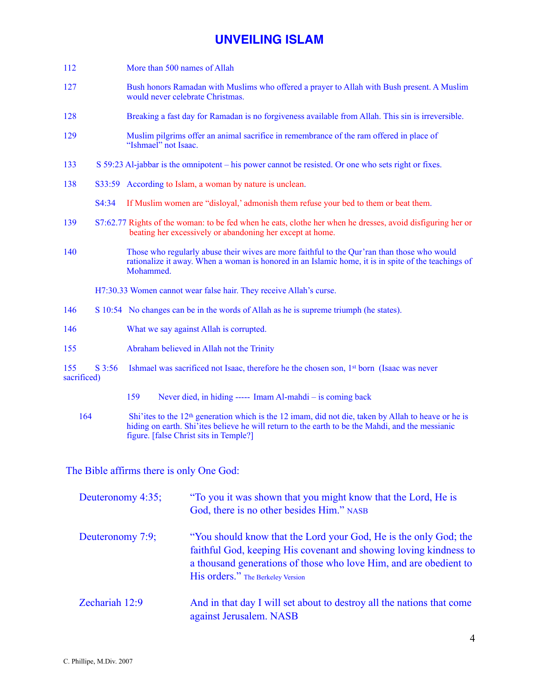- 112 More than 500 names of Allah
- 127 Bush honors Ramadan with Muslims who offered a prayer to Allah with Bush present. A Muslim would never celebrate Christmas.
- 128 Breaking a fast day for Ramadan is no forgiveness available from Allah. This sin is irreversible.
- 129 Muslim pilgrims offer an animal sacrifice in remembrance of the ram offered in place of "Ishmael" not Isaac.
- 133 S 59:23 Al-jabbar is the omnipotent his power cannot be resisted. Or one who sets right or fixes.
- 138 S33:59 According to Islam, a woman by nature is unclean.
	- S4:34 If Muslim women are "disloyal,' admonish them refuse your bed to them or beat them.
- 139 S7:62.77 Rights of the woman: to be fed when he eats, clothe her when he dresses, avoid disfiguring her or beating her excessively or abandoning her except at home.
- 140 Those who regularly abuse their wives are more faithful to the Qur'ran than those who would rationalize it away. When a woman is honored in an Islamic home, it is in spite of the teachings of Mohammed.

H7:30.33 Women cannot wear false hair. They receive Allah's curse.

- 146 S 10:54 No changes can be in the words of Allah as he is supreme triumph (he states).
- 146 What we say against Allah is corrupted.
- 155 Abraham believed in Allah not the Trinity
- 155 S 3:56 Ishmael was sacrificed not Isaac, therefore he the chosen son, 1st born (Isaac was never sacrificed)
	- 159 Never died, in hiding ----- Imam Al-mahdi is coming back
	- 164 Shi'ites to the 12<sup>th</sup> generation which is the 12 imam, did not die, taken by Allah to heave or he is hiding on earth. Shi'ites believe he will return to the earth to be the Mahdi, and the messianic figure. [false Christ sits in Temple?]

The Bible affirms there is only One God:

| Deuteronomy 4:35; | "To you it was shown that you might know that the Lord, He is<br>God, there is no other besides Him." NASB                                                                                                                                      |
|-------------------|-------------------------------------------------------------------------------------------------------------------------------------------------------------------------------------------------------------------------------------------------|
| Deuteronomy 7:9;  | "You should know that the Lord your God, He is the only God; the<br>faithful God, keeping His covenant and showing loving kindness to<br>a thousand generations of those who love Him, and are obedient to<br>His orders." The Berkeley Version |
| Zechariah 12:9    | And in that day I will set about to destroy all the nations that come<br>against Jerusalem. NASB                                                                                                                                                |